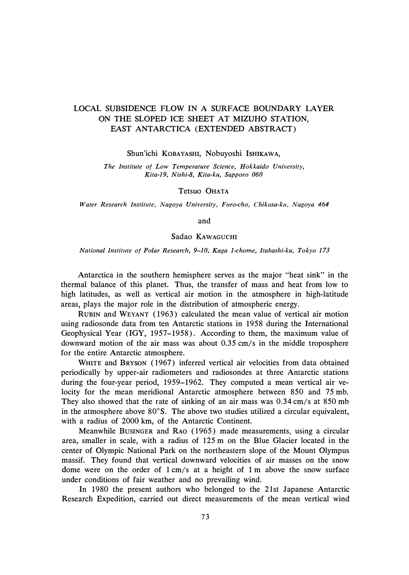## LOCAL SUBSIDENCE FLOW IN A SURFACE BOUNDARY LAYER ON THE SLOPED ICE SHEET AT MIZUHO STATION, EAST ANTARCTICA (EXTENDED ABSTRACT)

Shun'ichi KOBAYASHI, Nobuyoshi ISHIKAWA,

*The Institute of Low Temperature Science, Hokkaido University, Kita-19, Nishi-8, Kita-ku, Sapporo 060* 

Tetsuo OHATA

*Water Research Institute, Nagoya University, Furo-cho, Chikusa-ku, Nagoya 464* 

and

## Sadao KAWAGUCHI

*National Institute of Polar Research, 9-10, Kaga 1-chome, ltabashi-ku, Tokyo 173* 

Antarctica in the southern hemisphere serves as the major "heat sink" in the thermal balance of this planet. Thus, the transfer of mass and heat from low to high latitudes, as well as vertical air motion in the atmosphere in high-latitude areas, plays the major role in the distribution of atmospheric energy.

RUBIN and WEYANT ( 1963) calculated the mean value of vertical air motion using radiosonde data from ten Antarctic stations in 1958 during the International Geophysical Year (IGY, 1957-1958). According to them, the maximum value of downward motion of the air mass was about 0.35 cm/s in the middle troposphere for the entire Antarctic atmosphere.

WHITE and BRYSON ( 1967) inferred vertical air velocities from data obtained periodically by upper-air radiometers and radiosondes at three Antarctic stations during the four-year period, 1959-1962. They computed a mean vertical air velocity for the mean meridional Antarctic atmosphere between 850 and 75 mb. They also showed that the rate of sinking of an air mass was 0.34 cm/s at 850 mb in the atmosphere above 80° S. The above two studies utilized a circular equivalent, with a radius of 2000 km, of the Antarctic Continent.

Meanwhile BusINGER and RAO (1965) made measurements, using a circular area, smaller in scale, with a radius of 125 m on the Blue Glacier located in the center of Olympic National Park on the northeastern slope of the Mount Olympus massif. They found that vertical downward velocities of air masses on the snow dome were on the order of  $1 \text{ cm/s}$  at a height of  $1 \text{ m}$  above the snow surface under conditions of fair weather and no prevailing wind.

In 1980 the present authors who belonged to the 21st Japanese Antarctic Research Expedition, carried out direct measurements of the mean vertical wind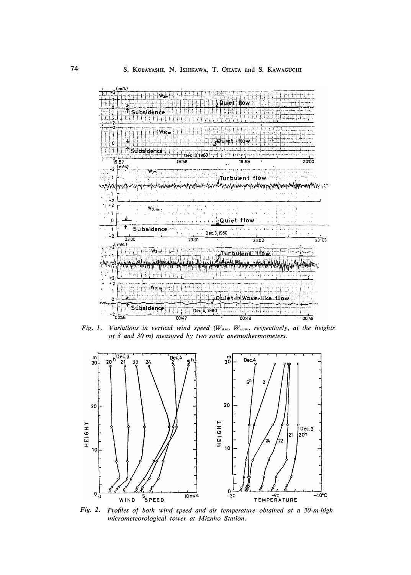

Fig. 1. Variations in vertical wind speed ( $W_{3m}$ ,  $W_{30m}$ , respectively, at the heights of 3 and 30 m) measured by two sonic anemothermometers.



Fig. 2. Profiles of both wind speed and air temperature obtained at a 30-m-high micrometeorological tower at Mizuho Station.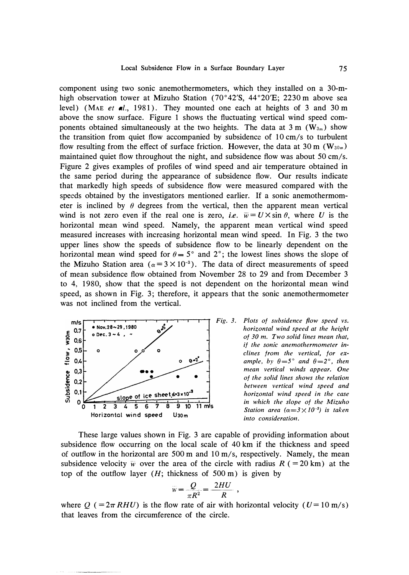component using two sonic anemothermometers, which they installed on a 30-mhigh observation tower at Mizuho Station (70°42'S, 44°20'E; 2230 m above sea level) (MAE et al., 1981). They mounted one each at heights of 3 and 30 m above the snow surface. Figure 1 shows the fluctuating vertical wind speed components obtained simultaneously at the two heights. The data at 3 m ( $W_{3m}$ ) show the transition from quiet flow accompanied by subsidence of  $10 \text{ cm/s}$  to turbulent flow resulting from the effect of surface friction. However, the data at 30 m ( $W_{30m}$ ) maintained quiet flow throughout the night, and subsidence flow was about  $50 \text{ cm/s}$ . Figure 2 gives examples of profiles of wind speed and air temperature obtained in the same period during the appearance of subsidence flow. Our results indicate that markedly high speeds of subsidence flow were measured compared with the speeds obtained by the investigators mentioned earlier. If a sonic anemothermometer is inclined by  $\theta$  degrees from the vertical, then the apparent mean vertical wind is not zero even if the real one is zero, *i.e.*  $\overline{w} = U \times \sin \theta$ , where *U* is the horizontal mean wind speed. Namely, the apparent mean vertical wind speed measured increases with increasing horizontal mean wind speed. In Fig. 3 the two upper lines show the speeds of subsidence flow to be linearly dependent on the horizontal mean wind speed for  $\theta = 5^{\circ}$  and 2<sup>°</sup>; the lowest lines shows the slope of the Mizuho Station area  $(a=3 \times 10^{-3})$ . The data of direct measurements of speed of mean subsidence flow obtained from November 28 to 29 and from December 3 to 4, 1980, show that the speed is not dependent on the horizontal mean wind speed, as shown in Fig. 3; therefore, it appears that the sonic anemothermometer was not inclined from the vertical.



*Fig. 3. Plots of subsidence fiow speed vs. horizontal wind speed at the height of 30 m. Two solid lines mean that, if the sonic anemothermometer inclines from the vertical, for example, by*  $\theta = 5^\circ$  *and*  $\theta = 2^\circ$ *, then mean vertical winds appear. One of the solid lines shows the relation between vertical wind speed and horizontal wind speed in the case in which the slope of the Mizuho Station area*  $(\alpha = 3 \times 10^{-3})$  *is taken into consideration.* 

These large values shown in Fig. 3 are capable of providing information about subsidence flow occurring on the local scale of 40 km if the thickness and speed of outflow in the horizontal are 500 m and 10 m/s, respectively. Namely, the mean subsidence velocity  $\overline{w}$  over the area of the circle with radius  $R$  (= 20 km) at the top of the outflow layer  $(H;$  thickness of 500 m) is given by

$$
w = \frac{Q}{\pi R^2} = \frac{2HU}{R} \ ,
$$

where  $Q = 2\pi R H U$ ) is the flow rate of air with horizontal velocity ( $U = 10$  m/s) that leaves from the circumference of the circle.